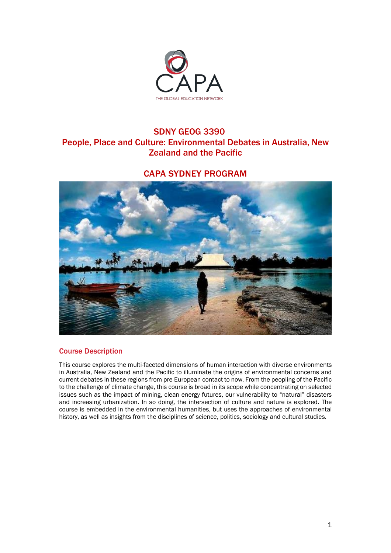

# SDNY GEOG 3390 People, Place and Culture: Environmental Debates in Australia, New Zealand and the Pacific

# CAPA SYDNEY PROGRAM



# Course Description

This course explores the multi-faceted dimensions of human interaction with diverse environments in Australia, New Zealand and the Pacific to illuminate the origins of environmental concerns and current debates in these regions from pre-European contact to now. From the peopling of the Pacific to the challenge of climate change, this course is broad in its scope while concentrating on selected issues such as the impact of mining, clean energy futures, our vulnerability to "natural" disasters and increasing urbanization. In so doing, the intersection of culture and nature is explored. The course is embedded in the environmental humanities, but uses the approaches of environmental history, as well as insights from the disciplines of science, politics, sociology and cultural studies.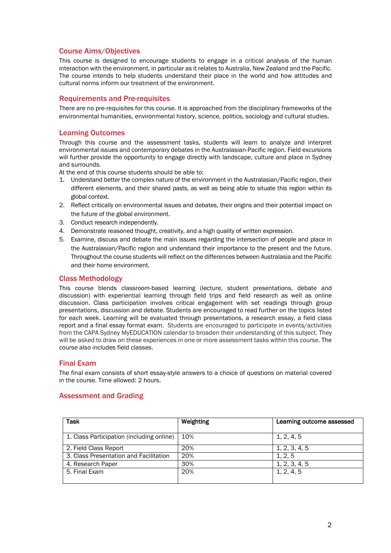# Course Aims/Objectives

This course is designed to encourage students to engage in a critical analysis of the human interaction with the environment, in particular as it relates to Australia, New Zealand and the Pacific. The course intends to help students understand their place in the world and how attitudes and cultural norms inform our treatment of the environment.

# Requirements and Pre-requisites

There are no pre-requisites for this course. It is approached from the disciplinary frameworks of the environmental humanities, environmental history, science, politics, sociology and cultural studies.

# Learning Outcomes

Through this course and the assessment tasks, students will learn to analyze and interpret environmental issues and contemporary debates in the Australasian-Pacific region. Field excursions will further provide the opportunity to engage directly with landscape, culture and place in Sydney and surrounds.

At the end of this course students should be able to:

- 1. Understand better the complex nature of the environment in the Australasian/Pacific region, their different elements, and their shared pasts, as well as being able to situate this region within its global context.
- 2. Reflect critically on environmental issues and debates, their origins and their potential impact on the future of the global environment.
- 3. Conduct research independently.
- 4. Demonstrate reasoned thought, creativity, and a high quality of written expression.
- 5. Examine, discuss and debate the main issues regarding the intersection of people and place in the Australasian/Pacific region and understand their importance to the present and the future. Throughout the course students will reflect on the differences between Australasia and the Pacific and their home environment.

# Class Methodology

This course blends classroom-based learning (lecture, student presentations, debate and discussion) with experiential learning through field trips and field research as well as online discussion. Class participation involves critical engagement with set readings through group presentations, discussion and debate. Students are encouraged to read further on the topics listed for each week. Learning will be evaluated through presentations, a research essay, a field class report and a final essay format exam. Students are encouraged to participate in events/activities from the CAPA Sydney MyEDUCATION calendar to broaden their understanding of this subject. They will be asked to draw on these experiences in one or more assessment tasks within this course. The course also includes field classes.

## Final Exam

The final exam consists of short essay-style answers to a choice of questions on material covered in the course. Time allowed: 2 hours.

## Assessment and Grading

| <b>Task</b>                               | Weighting | Learning outcome assessed |
|-------------------------------------------|-----------|---------------------------|
| 1. Class Participation (including online) | 10%       | 1, 2, 4, 5                |
| 2. Field Class Report                     | 20%       | 1, 2, 3, 4, 5             |
| 3. Class Presentation and Facilitation    | 20%       | 1, 2, 5                   |
| 4. Research Paper                         | 30%       | 1, 2, 3, 4, 5             |
| 5. Final Exam                             | 20%       | 1, 2, 4, 5                |
|                                           |           |                           |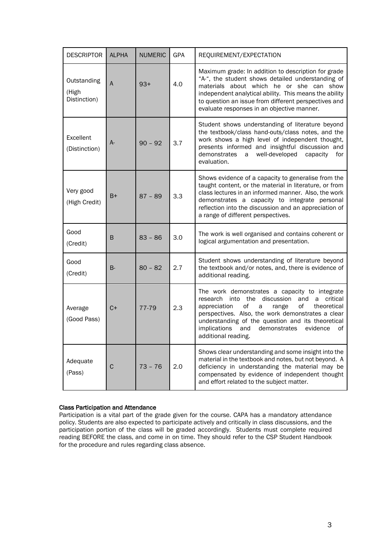| <b>DESCRIPTOR</b>                    | <b>ALPHA</b> | <b>NUMERIC</b> | GPA | REQUIREMENT/EXPECTATION                                                                                                                                                                                                                                                                                                                                  |
|--------------------------------------|--------------|----------------|-----|----------------------------------------------------------------------------------------------------------------------------------------------------------------------------------------------------------------------------------------------------------------------------------------------------------------------------------------------------------|
| Outstanding<br>(High<br>Distinction) | A            | $93+$          | 4.0 | Maximum grade: In addition to description for grade<br>"A-", the student shows detailed understanding of<br>materials about which he or she can show<br>independent analytical ability. This means the ability<br>to question an issue from different perspectives and<br>evaluate responses in an objective manner.                                     |
| Excellent<br>(Distinction)           | A-           | $90 - 92$      | 3.7 | Student shows understanding of literature beyond<br>the textbook/class hand-outs/class notes, and the<br>work shows a high level of independent thought,<br>presents informed and insightful discussion and<br>demonstrates<br>well-developed<br>capacity<br>a<br>for<br>evaluation.                                                                     |
| Very good<br>(High Credit)           | $B+$         | $87 - 89$      | 3.3 | Shows evidence of a capacity to generalise from the<br>taught content, or the material in literature, or from<br>class lectures in an informed manner. Also, the work<br>demonstrates a capacity to integrate personal<br>reflection into the discussion and an appreciation of<br>a range of different perspectives.                                    |
| Good<br>(Credit)                     | B            | $83 - 86$      | 3.0 | The work is well organised and contains coherent or<br>logical argumentation and presentation.                                                                                                                                                                                                                                                           |
| Good<br>(Credit)                     | <b>B-</b>    | $80 - 82$      | 2.7 | Student shows understanding of literature beyond<br>the textbook and/or notes, and, there is evidence of<br>additional reading.                                                                                                                                                                                                                          |
| Average<br>(Good Pass)               | $C+$         | 77-79          | 2.3 | The work demonstrates a capacity to integrate<br>into the discussion<br>a critical<br>research<br>and<br>of<br>of<br>appreciation<br>a<br>theoretical<br>range<br>perspectives. Also, the work demonstrates a clear<br>understanding of the question and its theoretical<br>implications<br>demonstrates<br>and<br>evidence<br>of<br>additional reading. |
| Adequate<br>(Pass)                   | $\mathsf C$  | $73 - 76$      | 2.0 | Shows clear understanding and some insight into the<br>material in the textbook and notes, but not beyond. A<br>deficiency in understanding the material may be<br>compensated by evidence of independent thought<br>and effort related to the subject matter.                                                                                           |

# Class Participation and Attendance

Participation is a vital part of the grade given for the course. CAPA has a mandatory attendance policy. Students are also expected to participate actively and critically in class discussions, and the participation portion of the class will be graded accordingly. Students must complete required reading BEFORE the class, and come in on time. They should refer to the CSP Student Handbook for the procedure and rules regarding class absence.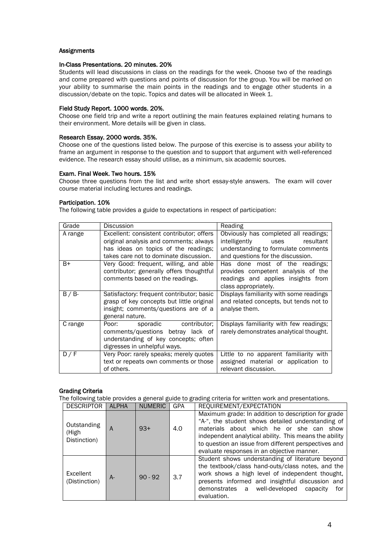# Assignments

## In-Class Presentations. 20 minutes. 20%

Students will lead discussions in class on the readings for the week. Choose two of the readings and come prepared with questions and points of discussion for the group. You will be marked on your ability to summarise the main points in the readings and to engage other students in a discussion/debate on the topic. Topics and dates will be allocated in Week 1.

# Field Study Report. 1000 words. 20%.

Choose one field trip and write a report outlining the main features explained relating humans to their environment. More details will be given in class.

## Research Essay. 2000 words. 35%.

Choose one of the questions listed below. The purpose of this exercise is to assess your ability to frame an argument in response to the question and to support that argument with well-referenced evidence. The research essay should utilise, as a minimum, six academic sources.

#### Exam. Final Week. Two hours. 15%

Choose three questions from the list and write short essay-style answers. The exam will cover course material including lectures and readings.

#### Participation. 10%

The following table provides a guide to expectations in respect of participation:

| Grade     | Discussion                                | Reading                                 |
|-----------|-------------------------------------------|-----------------------------------------|
| A range   | Excellent: consistent contributor; offers | Obviously has completed all readings;   |
|           | original analysis and comments; always    | intelligently uses<br>resultant         |
|           | has ideas on topics of the readings;      | understanding to formulate comments     |
|           | takes care not to dominate discussion.    | and questions for the discussion.       |
| B+        | Very Good: frequent, willing, and able    | Has done most of the readings;          |
|           | contributor; generally offers thoughtful  | provides competent analysis of the      |
|           | comments based on the readings.           | readings and applies insights from      |
|           |                                           | class appropriately.                    |
| $B / B$ - | Satisfactory: frequent contributor; basic | Displays familiarity with some readings |
|           | grasp of key concepts but little original | and related concepts, but tends not to  |
|           | insight; comments/questions are of a      | analyse them.                           |
|           | general nature.                           |                                         |
| C range   | sporadic contributor;<br>Poor: Poor       | Displays familiarity with few readings; |
|           | comments/questions betray lack of         | rarely demonstrates analytical thought. |
|           | understanding of key concepts; often      |                                         |
|           | digresses in unhelpful ways.              |                                         |
| D/F       | Very Poor: rarely speaks; merely quotes   | Little to no apparent familiarity with  |
|           | text or repeats own comments or those     | assigned material or application to     |
|           | of others.                                | relevant discussion.                    |

## Grading Criteria

The following table provides a general guide to grading criteria for written work and presentations.

| <b>DESCRIPTOR</b>                    | <b>ALPHA</b> | <b>NUMERIC</b> | <b>GPA</b> | REQUIREMENT/EXPECTATION                                                                                                                                                                                                                                                                                                 |  |
|--------------------------------------|--------------|----------------|------------|-------------------------------------------------------------------------------------------------------------------------------------------------------------------------------------------------------------------------------------------------------------------------------------------------------------------------|--|
| Outstanding<br>(High<br>Distinction) | A            | $93+$          | 4.0        | Maximum grade: In addition to description for grade<br>"A-", the student shows detailed understanding of<br>materials about which he or she can<br>show<br>independent analytical ability. This means the ability<br>to question an issue from different perspectives and<br>evaluate responses in an objective manner. |  |
| Excellent<br>(Distinction)           | A-           | $90 - 92$      | 3.7        | Student shows understanding of literature beyond<br>the textbook/class hand-outs/class notes, and the<br>work shows a high level of independent thought,<br>presents informed and insightful discussion and<br>demonstrates a well-developed<br>capacity<br>for<br>evaluation.                                          |  |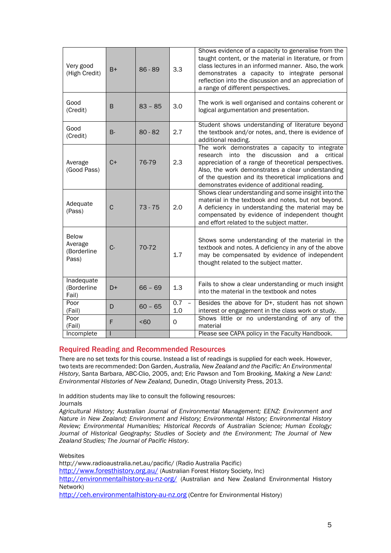| Very good<br>(High Credit)                      | $B+$        | $86 - 89$ | 3.3        | Shows evidence of a capacity to generalise from the<br>taught content, or the material in literature, or from<br>class lectures in an informed manner. Also, the work<br>demonstrates a capacity to integrate personal<br>reflection into the discussion and an appreciation of<br>a range of different perspectives.         |
|-------------------------------------------------|-------------|-----------|------------|-------------------------------------------------------------------------------------------------------------------------------------------------------------------------------------------------------------------------------------------------------------------------------------------------------------------------------|
| Good<br>(Credit)                                | B           | $83 - 85$ | 3.0        | The work is well organised and contains coherent or<br>logical argumentation and presentation.                                                                                                                                                                                                                                |
| Good<br>(Credit)                                | $B -$       | $80 - 82$ | 2.7        | Student shows understanding of literature beyond<br>the textbook and/or notes, and, there is evidence of<br>additional reading.                                                                                                                                                                                               |
| Average<br>(Good Pass)                          | $C+$        | 76-79     | 2.3        | The work demonstrates a capacity to integrate<br>discussion<br>research into the<br>critical<br>and<br>a<br>appreciation of a range of theoretical perspectives.<br>Also, the work demonstrates a clear understanding<br>of the question and its theoretical implications and<br>demonstrates evidence of additional reading. |
| Adequate<br>(Pass)                              | $\mathbf C$ | $73 - 75$ | 2.0        | Shows clear understanding and some insight into the<br>material in the textbook and notes, but not beyond.<br>A deficiency in understanding the material may be<br>compensated by evidence of independent thought<br>and effort related to the subject matter.                                                                |
| <b>Below</b><br>Average<br>(Borderline<br>Pass) | $C -$       | 70-72     | 1.7        | Shows some understanding of the material in the<br>textbook and notes. A deficiency in any of the above<br>may be compensated by evidence of independent<br>thought related to the subject matter.                                                                                                                            |
| Inadequate<br>(Borderline<br>Fail)              | D+          | $66 - 69$ | 1.3        | Fails to show a clear understanding or much insight<br>into the material in the textbook and notes                                                                                                                                                                                                                            |
| Poor<br>(Fail)                                  | D           | $60 - 65$ | 0.7<br>1.0 | Besides the above for D+, student has not shown<br>interest or engagement in the class work or study.                                                                                                                                                                                                                         |
| Poor<br>(Fail)                                  | F           | $60$      | $\Omega$   | Shows little or no understanding of any of the<br>material                                                                                                                                                                                                                                                                    |
| Incomplete                                      |             |           |            | Please see CAPA policy in the Faculty Handbook.                                                                                                                                                                                                                                                                               |

# Required Reading and Recommended Resources

There are no set texts for this course. Instead a list of readings is supplied for each week. However, two texts are recommended: Don Garden, *Australia, New Zealand and the Pacific: An Environmental History*, Santa Barbara, ABC-Clio, 2005, and; Eric Pawson and Tom Brooking, *Making a New Land: Environmental Histories of New Zealand,* Dunedin, Otago University Press, 2013.

In addition students may like to consult the following resources: **Journals** 

*Agricultural History; Australian Journal of Environmental Management; EENZ: Environment and Nature in New Zealand; Environment and History; Environmental History; Environmental History Review; Environmental Humanities; Historical Records of Australian Science; Human Ecology; Journal of Historical Geography; Studies of Society and the Environment; The Journal of New Zealand Studies; The Journal of Pacific History.*

## Websites

http://www.radioaustralia.net.au/pacific/ (Radio Australia Pacific)

<http://www.foresthistory.org.au/> (Australian Forest History Society, Inc)

<http://environmentalhistory-au-nz-org/> (Australian and New Zealand Environmental History Network)

[http://ceh.environmentalhistory-au-nz.org](http://ceh.environmentalhistory-au-nz.org/) (Centre for Environmental History)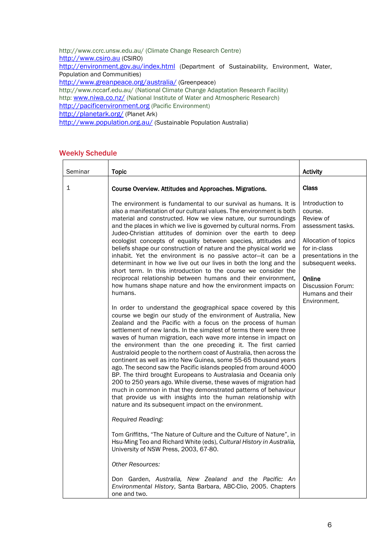http://www.ccrc.unsw.edu.au/ (Climate Change Research Centre) [http://www.csiro.au](http://www.csiro.au/) (CSIRO) <http://environment.gov.au/index.html> (Department of Sustainability, Environment, Water, Population and Communities) <http://www.greanpeace.org/australia/> (Greenpeace) http://www.nccarf.edu.au/ (National Climate Change Adaptation Research Facility) http: [www.niwa.co.nz/](http://www.niwa.co.nz/) (National Institute of Water and Atmospheric Research) [http://pacificenvironment.org](http://pacificenvironment.org/) (Pacific Environment) <http://planetark.org/> (Planet Ark) <http://www.population.org.au/> (Sustainable Population Australia)

# Weekly Schedule

| Seminar      | <b>Topic</b>                                                                                                                                                                                                                                                                                                                                                                                                                                                                                                                                                                                                                                                                                                                                                                                                                                                                                                                                                                                                                                                                                                                                                                                                                                                                                                                                                                                                                                                                                                                                                                                                                                                                                                                                                                                                                                                                                                                                                                                                                                                                                                                                                                                | <b>Activity</b>                                                                                                                                                                                                      |
|--------------|---------------------------------------------------------------------------------------------------------------------------------------------------------------------------------------------------------------------------------------------------------------------------------------------------------------------------------------------------------------------------------------------------------------------------------------------------------------------------------------------------------------------------------------------------------------------------------------------------------------------------------------------------------------------------------------------------------------------------------------------------------------------------------------------------------------------------------------------------------------------------------------------------------------------------------------------------------------------------------------------------------------------------------------------------------------------------------------------------------------------------------------------------------------------------------------------------------------------------------------------------------------------------------------------------------------------------------------------------------------------------------------------------------------------------------------------------------------------------------------------------------------------------------------------------------------------------------------------------------------------------------------------------------------------------------------------------------------------------------------------------------------------------------------------------------------------------------------------------------------------------------------------------------------------------------------------------------------------------------------------------------------------------------------------------------------------------------------------------------------------------------------------------------------------------------------------|----------------------------------------------------------------------------------------------------------------------------------------------------------------------------------------------------------------------|
| $\mathbf{1}$ | Course Overview. Attitudes and Approaches. Migrations.                                                                                                                                                                                                                                                                                                                                                                                                                                                                                                                                                                                                                                                                                                                                                                                                                                                                                                                                                                                                                                                                                                                                                                                                                                                                                                                                                                                                                                                                                                                                                                                                                                                                                                                                                                                                                                                                                                                                                                                                                                                                                                                                      | <b>Class</b>                                                                                                                                                                                                         |
|              | The environment is fundamental to our survival as humans. It is<br>also a manifestation of our cultural values. The environment is both<br>material and constructed. How we view nature, our surroundings<br>and the places in which we live is governed by cultural norms. From<br>Judeo-Christian attitudes of dominion over the earth to deep<br>ecologist concepts of equality between species, attitudes and<br>beliefs shape our construction of nature and the physical world we<br>inhabit. Yet the environment is no passive actor-it can be a<br>determinant in how we live out our lives in both the long and the<br>short term. In this introduction to the course we consider the<br>reciprocal relationship between humans and their environment,<br>how humans shape nature and how the environment impacts on<br>humans.<br>In order to understand the geographical space covered by this<br>course we begin our study of the environment of Australia, New<br>Zealand and the Pacific with a focus on the process of human<br>settlement of new lands. In the simplest of terms there were three<br>waves of human migration, each wave more intense in impact on<br>the environment than the one preceding it. The first carried<br>Australoid people to the northern coast of Australia, then across the<br>continent as well as into New Guinea, some 55-65 thousand years<br>ago. The second saw the Pacific islands peopled from around 4000<br>BP. The third brought Europeans to Australasia and Oceania only<br>200 to 250 years ago. While diverse, these waves of migration had<br>much in common in that they demonstrated patterns of behaviour<br>that provide us with insights into the human relationship with<br>nature and its subsequent impact on the environment.<br>Required Reading:<br>Tom Griffiths, "The Nature of Culture and the Culture of Nature", in<br>Hsu-Ming Teo and Richard White (eds), Cultural History in Australia,<br>University of NSW Press, 2003, 67-80.<br><b>Other Resources:</b><br>Don Garden, Australia, New Zealand and the Pacific: An<br>Environmental History, Santa Barbara, ABC-Clio, 2005. Chapters<br>one and two. | Introduction to<br>course.<br>Review of<br>assessment tasks.<br>Allocation of topics<br>for in-class<br>presentations in the<br>subsequent weeks.<br>Online<br>Discussion Forum:<br>Humans and their<br>Environment. |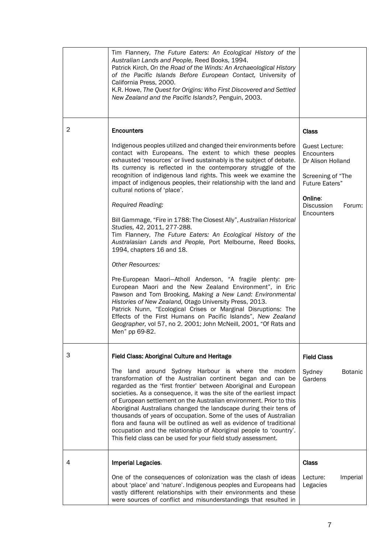|   | Tim Flannery, The Future Eaters: An Ecological History of the<br>Australian Lands and People, Reed Books, 1994.<br>Patrick Kirch, On the Road of the Winds: An Archaeological History<br>of the Pacific Islands Before European Contact, University of<br>California Press, 2000.<br>K.R. Howe, The Quest for Origins: Who First Discovered and Settled<br>New Zealand and the Pacific Islands?, Penguin, 2003.                                                                                                                                                                                                                                                                            |                                                                                                        |                |
|---|--------------------------------------------------------------------------------------------------------------------------------------------------------------------------------------------------------------------------------------------------------------------------------------------------------------------------------------------------------------------------------------------------------------------------------------------------------------------------------------------------------------------------------------------------------------------------------------------------------------------------------------------------------------------------------------------|--------------------------------------------------------------------------------------------------------|----------------|
| 2 | <b>Encounters</b>                                                                                                                                                                                                                                                                                                                                                                                                                                                                                                                                                                                                                                                                          | <b>Class</b>                                                                                           |                |
|   | Indigenous peoples utilized and changed their environments before<br>contact with Europeans. The extent to which these peoples<br>exhausted 'resources' or lived sustainably is the subject of debate.<br>Its currency is reflected in the contemporary struggle of the<br>recognition of indigenous land rights. This week we examine the<br>impact of indigenous peoples, their relationship with the land and<br>cultural notions of 'place'.                                                                                                                                                                                                                                           | <b>Guest Lecture:</b><br>Encounters<br>Dr Alison Holland<br>Screening of "The<br><b>Future Eaters"</b> |                |
|   | Required Reading:                                                                                                                                                                                                                                                                                                                                                                                                                                                                                                                                                                                                                                                                          | Online:<br>Discussion                                                                                  | Forum:         |
|   | Bill Gammage, "Fire in 1788: The Closest Ally", Australian Historical<br>Studies, 42, 2011, 277-288.<br>Tim Flannery, The Future Eaters: An Ecological History of the<br>Australasian Lands and People, Port Melbourne, Reed Books,<br>1994, chapters 16 and 18.                                                                                                                                                                                                                                                                                                                                                                                                                           | Encounters                                                                                             |                |
|   | <b>Other Resources:</b>                                                                                                                                                                                                                                                                                                                                                                                                                                                                                                                                                                                                                                                                    |                                                                                                        |                |
|   | Pre-European Maori-Atholl Anderson, "A fragile plenty: pre-<br>European Maori and the New Zealand Environment", in Eric<br>Pawson and Tom Brooking, Making a New Land: Environmental<br>Histories of New Zealand, Otago University Press, 2013.<br>Patrick Nunn, "Ecological Crises or Marginal Disruptions: The<br>Effects of the First Humans on Pacific Islands", New Zealand<br>Geographer, vol 57, no 2. 2001; John McNeill, 2001, "Of Rats and<br>Men" pp 69-82.                                                                                                                                                                                                                     |                                                                                                        |                |
| 3 | Field Class: Aboriginal Culture and Heritage                                                                                                                                                                                                                                                                                                                                                                                                                                                                                                                                                                                                                                               | <b>Field Class</b>                                                                                     |                |
|   | The land around Sydney Harbour is where the modern<br>transformation of the Australian continent began and can be<br>regarded as the 'first frontier' between Aboriginal and European<br>societies. As a consequence, it was the site of the earliest impact<br>of European settlement on the Australian environment. Prior to this<br>Aboriginal Australians changed the landscape during their tens of<br>thousands of years of occupation. Some of the uses of Australian<br>flora and fauna will be outlined as well as evidence of traditional<br>occupation and the relationship of Aboriginal people to 'country'.<br>This field class can be used for your field study assessment. | Sydney<br>Gardens                                                                                      | <b>Botanic</b> |
| 4 | Imperial Legacies.                                                                                                                                                                                                                                                                                                                                                                                                                                                                                                                                                                                                                                                                         | <b>Class</b>                                                                                           |                |
|   | One of the consequences of colonization was the clash of ideas<br>about 'place' and 'nature'. Indigenous peoples and Europeans had<br>vastly different relationships with their environments and these<br>were sources of conflict and misunderstandings that resulted in                                                                                                                                                                                                                                                                                                                                                                                                                  | Lecture:<br>Legacies                                                                                   | Imperial       |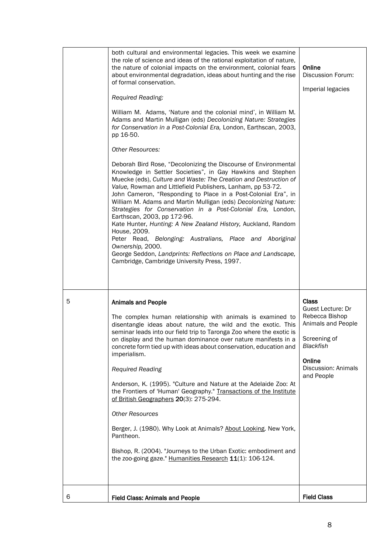|   | both cultural and environmental legacies. This week we examine<br>the role of science and ideas of the rational exploitation of nature,<br>the nature of colonial impacts on the environment, colonial fears<br>about environmental degradation, ideas about hunting and the rise<br>of formal conservation.<br>Required Reading:<br>William M. Adams, 'Nature and the colonial mind', in William M.<br>Adams and Martin Mulligan (eds) Decolonizing Nature: Strategies<br>for Conservation in a Post-Colonial Era, London, Earthscan, 2003,<br>pp 16-50.<br><b>Other Resources:</b><br>Deborah Bird Rose, "Decolonizing the Discourse of Environmental<br>Knowledge in Settler Societies", in Gay Hawkins and Stephen<br>Muecke (eds), Culture and Waste: The Creation and Destruction of<br>Value, Rowman and Littlefield Publishers, Lanham, pp 53-72.<br>John Cameron, "Responding to Place in a Post-Colonial Era", in<br>William M. Adams and Martin Mulligan (eds) Decolonizing Nature:<br>Strategies for Conservation in a Post-Colonial Era, London,<br>Earthscan, 2003, pp 172-96.<br>Kate Hunter, Hunting: A New Zealand History, Auckland, Random<br>House, 2009.<br>Peter Read, Belonging: Australians, Place and Aboriginal<br>Ownership, 2000.<br>George Seddon, Landprints: Reflections on Place and Landscape,<br>Cambridge, Cambridge University Press, 1997. | Online<br>Discussion Forum:<br>Imperial legacies                                                                                                             |
|---|---------------------------------------------------------------------------------------------------------------------------------------------------------------------------------------------------------------------------------------------------------------------------------------------------------------------------------------------------------------------------------------------------------------------------------------------------------------------------------------------------------------------------------------------------------------------------------------------------------------------------------------------------------------------------------------------------------------------------------------------------------------------------------------------------------------------------------------------------------------------------------------------------------------------------------------------------------------------------------------------------------------------------------------------------------------------------------------------------------------------------------------------------------------------------------------------------------------------------------------------------------------------------------------------------------------------------------------------------------------------------------|--------------------------------------------------------------------------------------------------------------------------------------------------------------|
| 5 | <b>Animals and People</b><br>The complex human relationship with animals is examined to<br>disentangle ideas about nature, the wild and the exotic. This<br>seminar leads into our field trip to Taronga Zoo where the exotic is<br>on display and the human dominance over nature manifests in a<br>concrete form tied up with ideas about conservation, education and<br>imperialism.<br><b>Required Reading</b><br>Anderson, K. (1995). "Culture and Nature at the Adelaide Zoo: At<br>the Frontiers of 'Human' Geography." Transactions of the Institute<br>of British Geographers 20(3): 275-294.<br><b>Other Resources</b><br>Berger, J. (1980). Why Look at Animals? About Looking. New York,<br>Pantheon.<br>Bishop, R. (2004). "Journeys to the Urban Exotic: embodiment and<br>the zoo-going gaze." Humanities Research 11(1): 106-124.                                                                                                                                                                                                                                                                                                                                                                                                                                                                                                                               | <b>Class</b><br>Guest Lecture: Dr<br>Rebecca Bishop<br>Animals and People<br>Screening of<br><b>Blackfish</b><br>Online<br>Discussion: Animals<br>and People |
| 6 | <b>Field Class: Animals and People</b>                                                                                                                                                                                                                                                                                                                                                                                                                                                                                                                                                                                                                                                                                                                                                                                                                                                                                                                                                                                                                                                                                                                                                                                                                                                                                                                                          | <b>Field Class</b>                                                                                                                                           |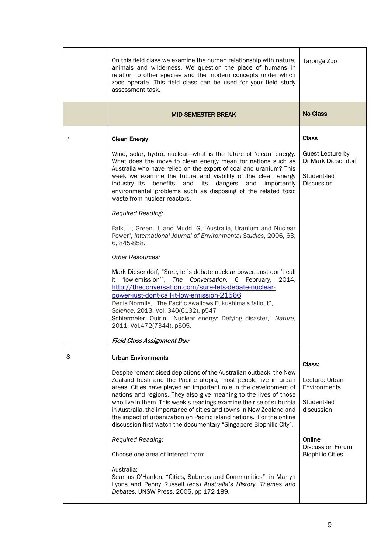|   | On this field class we examine the human relationship with nature,<br>animals and wilderness. We question the place of humans in<br>relation to other species and the modern concepts under which<br>zoos operate. This field class can be used for your field study<br>assessment task.                                                                                                                                                                                                                                                                                                                                                                                                                                                                                                                                                                    | Taronga Zoo                                                                                                                      |
|---|-------------------------------------------------------------------------------------------------------------------------------------------------------------------------------------------------------------------------------------------------------------------------------------------------------------------------------------------------------------------------------------------------------------------------------------------------------------------------------------------------------------------------------------------------------------------------------------------------------------------------------------------------------------------------------------------------------------------------------------------------------------------------------------------------------------------------------------------------------------|----------------------------------------------------------------------------------------------------------------------------------|
|   | <b>MID-SEMESTER BREAK</b>                                                                                                                                                                                                                                                                                                                                                                                                                                                                                                                                                                                                                                                                                                                                                                                                                                   | <b>No Class</b>                                                                                                                  |
| 7 | <b>Clean Energy</b>                                                                                                                                                                                                                                                                                                                                                                                                                                                                                                                                                                                                                                                                                                                                                                                                                                         | <b>Class</b>                                                                                                                     |
|   | Wind, solar, hydro, nuclear-what is the future of 'clean' energy.<br>What does the move to clean energy mean for nations such as<br>Australia who have relied on the export of coal and uranium? This<br>week we examine the future and viability of the clean energy<br>industry-its benefits and its dangers and importantly<br>environmental problems such as disposing of the related toxic<br>waste from nuclear reactors.<br>Required Reading:<br>Falk, J., Green, J, and Mudd, G, "Australia, Uranium and Nuclear<br>Power", International Journal of Environmental Studies, 2006, 63,<br>6, 845-858.                                                                                                                                                                                                                                                | Guest Lecture by<br>Dr Mark Diesendorf<br>Student-led<br>Discussion                                                              |
|   | <b>Other Resources:</b><br>Mark Diesendorf, "Sure, let's debate nuclear power. Just don't call<br>'low-emission'", The Conversation, 6 February, 2014,<br>it<br>http://theconversation.com/sure-lets-debate-nuclear-<br>power-just-dont-call-it-low-emission-21566<br>Denis Normile, "The Pacific swallows Fukushima's fallout",<br>Science, 2013, Vol. 340(6132), p547<br>Schiermeier, Quirin, "Nuclear energy: Defying disaster," Nature,<br>2011, Vol.472(7344), p505.                                                                                                                                                                                                                                                                                                                                                                                   |                                                                                                                                  |
|   | Field Class Assignment Due                                                                                                                                                                                                                                                                                                                                                                                                                                                                                                                                                                                                                                                                                                                                                                                                                                  |                                                                                                                                  |
| 8 | <b>Urban Environments</b><br>Despite romanticised depictions of the Australian outback, the New<br>Zealand bush and the Pacific utopia, most people live in urban<br>areas. Cities have played an important role in the development of<br>nations and regions. They also give meaning to the lives of those<br>who live in them. This week's readings examine the rise of suburbia<br>in Australia, the importance of cities and towns in New Zealand and<br>the impact of urbanization on Pacific island nations. For the online<br>discussion first watch the documentary "Singapore Biophilic City".<br>Required Reading:<br>Choose one area of interest from:<br>Australia:<br>Seamus O'Hanlon, "Cities, Suburbs and Communities", in Martyn<br>Lyons and Penny Russell (eds) Australia's History, Themes and<br>Debates, UNSW Press, 2005, pp 172-189. | Class:<br>Lecture: Urban<br>Environments.<br>Student-led<br>discussion<br>Online<br>Discussion Forum:<br><b>Biophilic Cities</b> |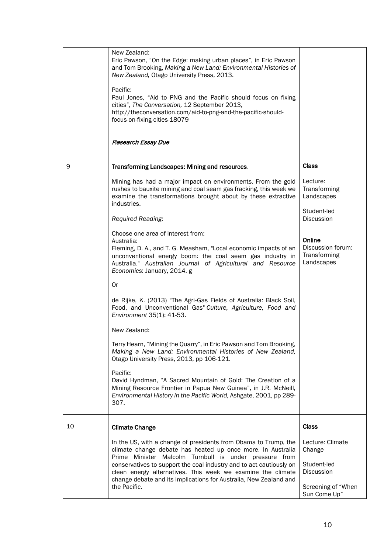|    | New Zealand:<br>Eric Pawson, "On the Edge: making urban places", in Eric Pawson<br>and Tom Brooking, Making a New Land: Environmental Histories of<br>New Zealand, Otago University Press, 2013.<br>Pacific:<br>Paul Jones, "Aid to PNG and the Pacific should focus on fixing<br>cities", The Conversation, 12 September 2013,<br>http://theconversation.com/aid-to-png-and-the-pacific-should-<br>focus-on-fixing-cities-18079<br><b>Research Essay Due</b>                                                                                        |                                                                                               |
|----|------------------------------------------------------------------------------------------------------------------------------------------------------------------------------------------------------------------------------------------------------------------------------------------------------------------------------------------------------------------------------------------------------------------------------------------------------------------------------------------------------------------------------------------------------|-----------------------------------------------------------------------------------------------|
| 9  | Transforming Landscapes: Mining and resources.                                                                                                                                                                                                                                                                                                                                                                                                                                                                                                       | <b>Class</b>                                                                                  |
|    | Mining has had a major impact on environments. From the gold<br>rushes to bauxite mining and coal seam gas fracking, this week we<br>examine the transformations brought about by these extractive<br>industries.<br>Required Reading:                                                                                                                                                                                                                                                                                                               | Lecture:<br>Transforming<br>Landscapes<br>Student-led<br><b>Discussion</b>                    |
|    | Choose one area of interest from:<br>Australia:<br>Fleming, D. A., and T. G. Measham, "Local economic impacts of an<br>unconventional energy boom: the coal seam gas industry in<br>Australia." Australian Journal of Agricultural and Resource<br>Economics: January, 2014. g<br><b>Or</b><br>de Rijke, K. (2013) "The Agri-Gas Fields of Australia: Black Soil,<br>Food, and Unconventional Gas" Culture, Agriculture, Food and<br>Environment 35(1): 41-53.<br>New Zealand:<br>Terry Hearn, "Mining the Quarry", in Eric Pawson and Tom Brooking, | Online<br>Discussion forum:<br>Transforming<br>Landscapes                                     |
|    | Making a New Land: Environmental Histories of New Zealand,<br>Otago University Press, 2013, pp 106-121.<br>Pacific:<br>David Hyndman, "A Sacred Mountain of Gold: The Creation of a<br>Mining Resource Frontier in Papua New Guinea", in J.R. McNeill,<br>Environmental History in the Pacific World, Ashgate, 2001, pp 289-<br>307.                                                                                                                                                                                                                 |                                                                                               |
| 10 | <b>Climate Change</b>                                                                                                                                                                                                                                                                                                                                                                                                                                                                                                                                | Class                                                                                         |
|    | In the US, with a change of presidents from Obama to Trump, the<br>climate change debate has heated up once more. In Australia<br>Prime Minister Malcolm Turnbull is under pressure from<br>conservatives to support the coal industry and to act cautiously on<br>clean energy alternatives. This week we examine the climate<br>change debate and its implications for Australia, New Zealand and<br>the Pacific.                                                                                                                                  | Lecture: Climate<br>Change<br>Student-led<br>Discussion<br>Screening of "When<br>Sun Come Up" |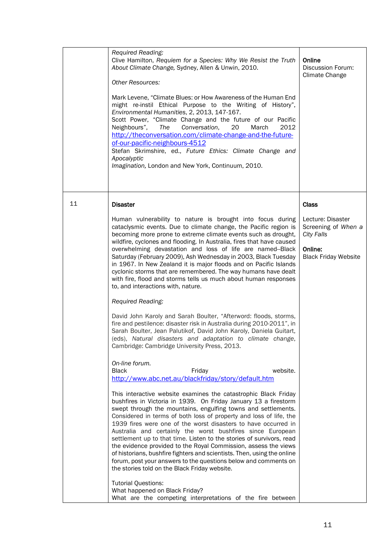|    | Required Reading:<br>Clive Hamilton, Requiem for a Species: Why We Resist the Truth<br>About Climate Change, Sydney, Allen & Unwin, 2010.<br><b>Other Resources:</b><br>Mark Levene, "Climate Blues: or How Awareness of the Human End<br>might re-instil Ethical Purpose to the Writing of History",<br>Environmental Humanities, 2, 2013, 147-167.<br>Scott Power, "Climate Change and the future of our Pacific<br>Conversation,<br>Neighbours",<br>The<br>20<br>March<br>2012<br>http://theconversation.com/climate-change-and-the-future-<br>of-our-pacific-neighbours-4512<br>Stefan Skrimshire, ed., Future Ethics: Climate Change and<br>Apocalyptic<br>Imagination, London and New York, Continuum, 2010.                                                                                                                                                                                                                                                                                                                                                                                                                                                                                                                                                                                                                                                                                                                                                                                                                                                                                                                                                                                                                                                                                                                                                                                                                                                                                                                     | Online<br>Discussion Forum:<br>Climate Change                                                                    |
|----|----------------------------------------------------------------------------------------------------------------------------------------------------------------------------------------------------------------------------------------------------------------------------------------------------------------------------------------------------------------------------------------------------------------------------------------------------------------------------------------------------------------------------------------------------------------------------------------------------------------------------------------------------------------------------------------------------------------------------------------------------------------------------------------------------------------------------------------------------------------------------------------------------------------------------------------------------------------------------------------------------------------------------------------------------------------------------------------------------------------------------------------------------------------------------------------------------------------------------------------------------------------------------------------------------------------------------------------------------------------------------------------------------------------------------------------------------------------------------------------------------------------------------------------------------------------------------------------------------------------------------------------------------------------------------------------------------------------------------------------------------------------------------------------------------------------------------------------------------------------------------------------------------------------------------------------------------------------------------------------------------------------------------------------|------------------------------------------------------------------------------------------------------------------|
| 11 | <b>Disaster</b><br>Human vulnerability to nature is brought into focus during<br>cataclysmic events. Due to climate change, the Pacific region is<br>becoming more prone to extreme climate events such as drought,<br>wildfire, cyclones and flooding. In Australia, fires that have caused<br>overwhelming devastation and loss of life are named--Black<br>Saturday (February 2009), Ash Wednesday in 2003, Black Tuesday<br>in 1967. In New Zealand it is major floods and on Pacific Islands<br>cyclonic storms that are remembered. The way humans have dealt<br>with fire, flood and storms tells us much about human responses<br>to, and interactions with, nature.<br>Required Reading:<br>David John Karoly and Sarah Boulter, "Afterword: floods, storms,<br>fire and pestilence: disaster risk in Australia during 2010-2011", in<br>Sarah Boulter, Jean Palutikof, David John Karoly, Daniela Guitart,<br>(eds), Natural disasters and adaptation to climate change,<br>Cambridge: Cambridge University Press, 2013.<br>On-line forum.<br><b>Black</b><br>website.<br>Friday<br>http://www.abc.net.au/blackfriday/story/default.htm<br>This interactive website examines the catastrophic Black Friday<br>bushfires in Victoria in 1939. On Friday January 13 a firestorm<br>swept through the mountains, engulfing towns and settlements.<br>Considered in terms of both loss of property and loss of life, the<br>1939 fires were one of the worst disasters to have occurred in<br>Australia and certainly the worst bushfires since European<br>settlement up to that time. Listen to the stories of survivors, read<br>the evidence provided to the Royal Commission, assess the views<br>of historians, bushfire fighters and scientists. Then, using the online<br>forum, post your answers to the questions below and comments on<br>the stories told on the Black Friday website.<br><b>Tutorial Questions:</b><br>What happened on Black Friday?<br>What are the competing interpretations of the fire between | Class<br>Lecture: Disaster<br>Screening of When a<br><b>City Falls</b><br>Online:<br><b>Black Friday Website</b> |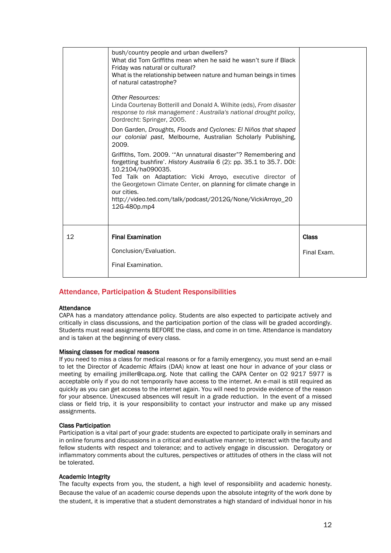|    | bush/country people and urban dwellers?<br>What did Tom Griffiths mean when he said he wasn't sure if Black<br>Friday was natural or cultural?<br>What is the relationship between nature and human beings in times<br>of natural catastrophe?<br><b>Other Resources:</b><br>Linda Courtenay Botterill and Donald A. Wilhite (eds), From disaster<br>response to risk management : Australia's national drought policy,<br>Dordrecht: Springer, 2005.<br>Don Garden, Droughts, Floods and Cyclones: El Niños that shaped<br>our colonial past, Melbourne, Australian Scholarly Publishing,<br>2009.<br>Griffiths, Tom. 2009. "An unnatural disaster"? Remembering and<br>forgetting bushfire'. History Australia 6 (2): pp. 35.1 to 35.7. DOI:<br>10.2104/ha090035.<br>Ted Talk on Adaptation: Vicki Arroyo, executive director of<br>the Georgetown Climate Center, on planning for climate change in<br>our cities.<br>http://video.ted.com/talk/podcast/2012G/None/VickiArroyo_20<br>12G-480p.mp4 |                             |
|----|------------------------------------------------------------------------------------------------------------------------------------------------------------------------------------------------------------------------------------------------------------------------------------------------------------------------------------------------------------------------------------------------------------------------------------------------------------------------------------------------------------------------------------------------------------------------------------------------------------------------------------------------------------------------------------------------------------------------------------------------------------------------------------------------------------------------------------------------------------------------------------------------------------------------------------------------------------------------------------------------------|-----------------------------|
| 12 | <b>Final Examination</b><br>Conclusion/Evaluation.<br>Final Examination.                                                                                                                                                                                                                                                                                                                                                                                                                                                                                                                                                                                                                                                                                                                                                                                                                                                                                                                             | <b>Class</b><br>Final Exam. |

# Attendance, Participation & Student Responsibilities

## Attendance

CAPA has a mandatory attendance policy. Students are also expected to participate actively and critically in class discussions, and the participation portion of the class will be graded accordingly. Students must read assignments BEFORE the class, and come in on time. Attendance is mandatory and is taken at the beginning of every class.

#### Missing classes for medical reasons

If you need to miss a class for medical reasons or for a family emergency, you must send an e-mail to let the Director of Academic Affairs (DAA) know at least one hour in advance of your class or meeting by emailing jmiller@capa.org. Note that calling the CAPA Center on 02 9217 5977 is acceptable only if you do not temporarily have access to the internet. An e-mail is still required as quickly as you can get access to the internet again. You will need to provide evidence of the reason for your absence. Unexcused absences will result in a grade reduction. In the event of a missed class or field trip, it is your responsibility to contact your instructor and make up any missed assignments.

#### Class Participation

Participation is a vital part of your grade: students are expected to participate orally in seminars and in online forums and discussions in a critical and evaluative manner; to interact with the faculty and fellow students with respect and tolerance; and to actively engage in discussion. Derogatory or inflammatory comments about the cultures, perspectives or attitudes of others in the class will not be tolerated.

#### Academic Integrity

The faculty expects from you, the student, a high level of responsibility and academic honesty. Because the value of an academic course depends upon the absolute integrity of the work done by the student, it is imperative that a student demonstrates a high standard of individual honor in his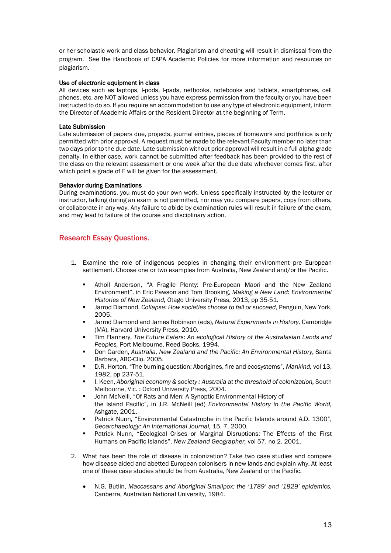or her scholastic work and class behavior. Plagiarism and cheating will result in dismissal from the program. See the Handbook of CAPA Academic Policies for more information and resources on plagiarism.

# Use of electronic equipment in class

All devices such as laptops, I-pods, I-pads, netbooks, notebooks and tablets, smartphones, cell phones, etc. are NOT allowed unless you have express permission from the faculty or you have been instructed to do so. If you require an accommodation to use any type of electronic equipment, inform the Director of Academic Affairs or the Resident Director at the beginning of Term.

# Late Submission

Late submission of papers due, projects, journal entries, pieces of homework and portfolios is only permitted with prior approval. A request must be made to the relevant Faculty member no later than two days prior to the due date. Late submission without prior approval will result in a full alpha grade penalty. In either case, work cannot be submitted after feedback has been provided to the rest of the class on the relevant assessment or one week after the due date whichever comes first, after which point a grade of F will be given for the assessment.

## Behavior during Examinations

During examinations, you must do your own work. Unless specifically instructed by the lecturer or instructor, talking during an exam is not permitted, nor may you compare papers, copy from others, or collaborate in any way. Any failure to abide by examination rules will result in failure of the exam, and may lead to failure of the course and disciplinary action.

# Research Essay Questions.

- 1. Examine the role of indigenous peoples in changing their environment pre European settlement. Choose one or two examples from Australia, New Zealand and/or the Pacific.
	- Atholl Anderson, "A Fragile Plenty: Pre-European Maori and the New Zealand Environment", in Eric Pawson and Tom Brooking, *Making a New Land: Environmental Histories of New Zealand,* Otago University Press, 2013, pp 35-51.
	- Jarrod Diamond, *Collapse: How societies choose to fail or succeed,* Penguin, New York, 2005.
	- Jarrod Diamond and James Robinson (eds), *Natural Experiments in History,* Cambridge (MA), Harvard University Press, 2010.
	- Tim Flannery, *The Future Eaters: An ecological History of the Australasian Lands and Peoples,* Port Melbourne, Reed Books, 1994.
	- Don Garden, *Australia, New Zealand and the Pacific: An Environmental History*, Santa Barbara, ABC-Clio, 2005.
	- D.R. Horton, "The burning question: Aborigines, fire and ecosystems", *Mankind,* vol 13, 1982, pp 237-51.
	- I. Keen, *Aboriginal economy & society : Australia at the threshold of colonization,* South Melbourne, Vic. : Oxford University Press, 2004.
	- John McNeill, "Of Rats and Men: A Synoptic Environmental History of the Island Pacific", in J.R. McNeill (ed) *Environmental History in the Pacific World,* Ashgate, 2001.
	- Patrick Nunn, "Environmental Catastrophe in the Pacific Islands around A.D. 1300", *Geoarchaeology: An International Journal,* 15, 7, 2000.
	- Patrick Nunn, "Ecological Crises or Marginal Disruptions: The Effects of the First Humans on Pacific Islands", *New Zealand Geographer,* vol 57, no 2. 2001.
- 2. What has been the role of disease in colonization? Take two case studies and compare how disease aided and abetted European colonisers in new lands and explain why. At least one of these case studies should be from Australia, New Zealand or the Pacific.
	- N.G. Butlin, *Maccassans and Aboriginal Smallpox: the '1789' and '1829' epidemics*, Canberra, Australian National University, 1984.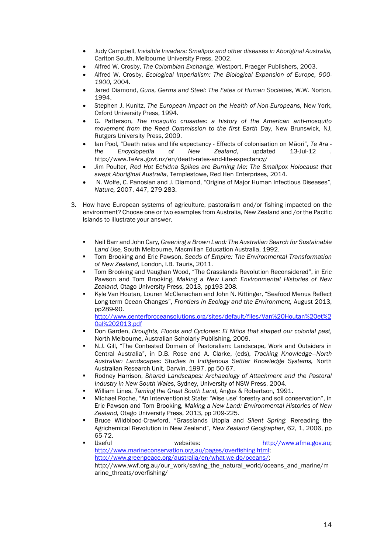- Judy Campbell, *Invisible Invaders: Smallpox and other diseases in Aboriginal Australia,*  Carlton South, Melbourne University Press, 2002.
- Alfred W. Crosby, *The Colombian Exchange*, Westport, Praeger Publishers, 2003.
- Alfred W. Crosby, *Ecological Imperialism: The Biological Expansion of Europe, 900- 1900,* 2004.
- Jared Diamond, *Guns, Germs and Steel: The Fates of Human Societies,* W.W. Norton, 1994.
- Stephen J. Kunitz, *The European Impact on the Health of Non-Europeans,* New York, Oxford University Press, 1994.
- G. Patterson, *The mosquito crusades: a history of the American anti-mosquito movement from the Reed Commission to the first Earth Day*, New Brunswick, NJ, Rutgers University Press, 2009.
- Ian Pool, "Death rates and life expectancy Effects of colonisation on Māori", *Te Ara -*  $Encyclopedia$ http://www.TeAra.govt.nz/en/death-rates-and-life-expectancy/
- Jim Poulter, *Red Hot Echidna Spikes are Burning Me: The Smallpox Holocaust that swept Aboriginal Australia,* Templestowe, Red Hen Enterprises, 2014.
- N. Wolfe, C. Panosian and J. Diamond, "Origins of Major Human Infectious Diseases", *Nature,* 2007, 447, 279-283.
- 3. How have European systems of agriculture, pastoralism and/or fishing impacted on the environment? Choose one or two examples from Australia, New Zealand and /or the Pacific Islands to illustrate your answer.
	- Neil Barr and John Cary, *Greening a Brown Land: The Australian Search for Sustainable Land Use,* South Melbourne, Macmillan Education Australia, 1992.
	- Tom Brooking and Eric Pawson, *Seeds of Empire: The Environmental Transformation of New Zealand,* London, I.B. Tauris, 2011.
	- Tom Brooking and Vaughan Wood, "The Grasslands Revolution Reconsidered", in Eric Pawson and Tom Brooking, *Making a New Land: Environmental Histories of New Zealand,* Otago University Press, 2013, pp193-208.
	- Kyle Van Houtan, Louren McClenachan and John N. Kittinger, "Seafood Menus Reflect Long-term Ocean Changes", *Frontiers in Ecology and the Environment,* August 2013, pp289-90.

[http://www.centerforoceansolutions.org/sites/default/files/Van%20Houtan%20et%2](http://www.centerforoceansolutions.org/sites/default/files/Van%20Houtan%20et%20al%202013.pdf) [0al%202013.pdf](http://www.centerforoceansolutions.org/sites/default/files/Van%20Houtan%20et%20al%202013.pdf)

- Don Garden, *Droughts, Floods and Cyclones: El Niños that shaped our colonial past,* North Melbourne, Australian Scholarly Publishing, 2009.
- N.J. Gill, "The Contested Domain of Pastoralism: Landscape, Work and Outsiders in Central Australia", in D.B. Rose and A. Clarke, (eds), *Tracking Knowledge—North Australian Landscapes: Studies in Indigenous Settler Knowledge Systems,* North Australian Research Unit, Darwin, 1997, pp 50-67.
- Rodney Harrison, *Shared Landscapes: Archaeology of Attachment and the Pastoral Industry in New South Wales,* Sydney, University of NSW Press, 2004.
- William Lines, *Taming the Great South Land,* Angus & Robertson, 1991.
- Michael Roche, "An Interventionist State: 'Wise use' forestry and soil conservation", in Eric Pawson and Tom Brooking, *Making a New Land: Environmental Histories of New Zealand,* Otago University Press, 2013, pp 209-225.
- Bruce Wildblood-Crawford, "Grasslands Utopia and *Silent Spring*: Rereading the Agrichemical Revolution in New Zealand", *New Zealand Geographer*, 62, 1, 2006, pp 65-72.<br>Useful
- websites: http://www.afma.gov.au; [http://www.marineconservation.org.au/pages/overfishing.html;](http://www.marineconservation.org.au/pages/overfishing.html) [http://www.greenpeace.org/australia/en/what-we-do/oceans/;](http://www.greenpeace.org/australia/en/what-we-do/oceans/) http://www.wwf.org.au/our\_work/saving\_the\_natural\_world/oceans\_and\_marine/m arine\_threats/overfishing/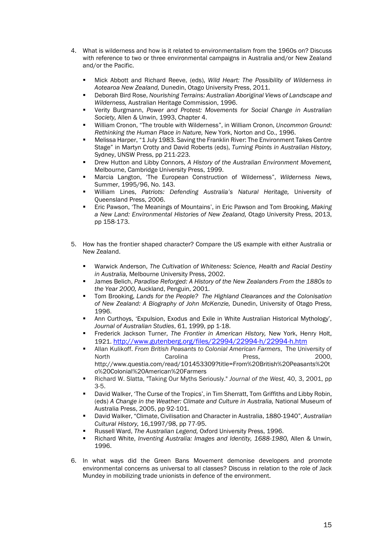- 4. What is wilderness and how is it related to environmentalism from the 1960s on? Discuss with reference to two or three environmental campaigns in Australia and/or New Zealand and/or the Pacific.
	- Mick Abbott and Richard Reeve, (eds), *Wild Heart: The Possibility of Wilderness in Aotearoa New Zealand,* Dunedin, Otago University Press, 2011.
	- Deborah Bird Rose, *Nourishing Terrains: Australian Aboriginal Views of Landscape and Wilderness,* Australian Heritage Commission, 1996.
	- Verity Burgmann, *Power and Protest: Movements for Social Change in Australian Society,* Allen & Unwin, 1993, Chapter 4.
	- William Cronon, "The trouble with Wilderness", in William Cronon, *Uncommon Ground: Rethinking the Human Place in Nature,* New York, Norton and Co., 1996.
	- Melissa Harper, "1 July 1983. Saving the Franklin River: The Environment Takes Centre Stage" in Martyn Crotty and David Roberts (eds), *Turning Points in Australian History,*  Sydney, UNSW Press, pp 211-223.
	- Drew Hutton and Libby Connors, *A History of the Australian Environment Movement,*  Melbourne, Cambridge University Press, 1999.
	- Marcia Langton, 'The European Construction of Wilderness", *Wilderness News,*  Summer, 1995/96, No. 143.
	- William Lines, *Patriots: Defending Australia's Natural Heritage,* University of Queensland Press, 2006.
	- Eric Pawson, 'The Meanings of Mountains', in Eric Pawson and Tom Brooking, *Making a New Land: Environmental Histories of New Zealand,* Otago University Press, 2013, pp 158-173.
- 5. How has the frontier shaped character? Compare the US example with either Australia or New Zealand.
	- Warwick Anderson, *The Cultivation of Whiteness: Science, Health and Racial Destiny in Australia,* Melbourne University Press, 2002.
	- James Belich, *Paradise Reforged: A History of the New Zealanders From the 1880s to the Year 2000,* Auckland, Penguin, 2001.
	- Tom Brooking, *Lands for the People? The Highland Clearances and the Colonisation of New Zealand: A Biography of John McKenzie,* Dunedin, University of Otago Press, 1996.
	- Ann Curthoys, 'Expulsion, Exodus and Exile in White Australian Historical Mythology', *Journal of Australian Studies*, 61, 1999, pp 1-18.
	- Frederick Jackson Turner, *The Frontier in American History,* New York, Henry Holt, 1921.<http://www.gutenberg.org/files/22994/22994-h/22994-h.htm>
	- Allan Kulikoff. *From British Peasants to Colonial American Farmers*, The University of North Carolina Press, 2000, http://www.questia.com/read/101453309?title=From%20British%20Peasants%20t o%20Colonial%20American%20Farmers
	- Richard W. Slatta, "Taking Our Myths Seriously." *Journal of the West,* 40, 3, 2001, pp 3-5.
	- David Walker, 'The Curse of the Tropics', in Tim Sherratt, Tom Griffiths and Libby Robin, (eds) *A Change in the Weather: Climate and Culture in Australia,* National Museum of Australia Press, 2005, pp 92-101.
	- David Walker, "Climate, Civilisation and Character in Australia, 1880-1940", *Australian Cultural History,* 16,1997/98, pp 77-95.
	- Russell Ward, *The Australian Legend,* Oxford University Press, 1996.
	- Richard White, *Inventing Australia: Images and Identity, 1688-1980,* Allen & Unwin, 1996.
- 6. In what ways did the Green Bans Movement demonise developers and promote environmental concerns as universal to all classes? Discuss in relation to the role of Jack Mundey in mobilizing trade unionists in defence of the environment.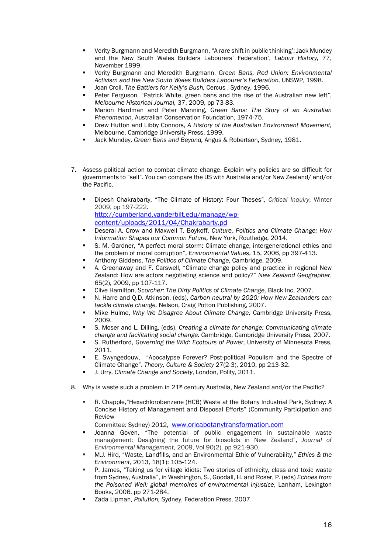- Verity Burgmann and Meredith Burgmann, "A rare shift in public thinking': Jack Mundey and the New South Wales Builders Labourers' Federation', *Labour History,* 77, November 1999.
- Verity Burgmann and Meredith Burgmann, *Green Bans, Red Union: Environmental Activism and the New South Wales Builders Labourer's Federation,* UNSWP, 1998.
- Joan Croll, *The Battlers for Kelly's Bush,* Cercus , Sydney, 1996.
- Peter Ferguson, "Patrick White, green bans and the rise of the Australian new left", *Melbourne Historical Journal,* 37, 2009, pp 73-83.
- Marion Hardman and Peter Manning, *Green Bans: The Story of an Australian Phenomenon,* Australian Conservation Foundation, 1974-75.
- Drew Hutton and Libby Connors, *A History of the Australian Environment Movement,*  Melbourne, Cambridge University Press, 1999.
- Jack Mundey, *Green Bans and Beyond,* Angus & Robertson, Sydney, 1981.
- 7. Assess political action to combat climate change. Explain why policies are so difficult for governments to "sell". You can compare the US with Australia and/or New Zealand/ and/or the Pacific.
	- Dipesh Chakrabarty, "The Climate of History: Four Theses", *Critical Inquiry*, Winter 2009, pp 197-222. [http://cumberland.vanderbilt.edu/manage/wp](http://cumberland.vanderbilt.edu/manage/wp-content/uploads/2011/04/Chakrabarty.pd)[content/uploads/2011/04/Chakrabarty.pd](http://cumberland.vanderbilt.edu/manage/wp-content/uploads/2011/04/Chakrabarty.pd)
	- Deserai A. Crow and Maxwell T. Boykoff, *Culture, Politics and Climate Change: How Information Shapes our Common Future,* New York, Routledge, 2014.
	- S. M. Gardner, "A perfect moral storm: Climate change, intergenerational ethics and the problem of moral corruption", *Environmental Values*, 15, 2006, pp 397-413.
	- Anthony Giddens, *The Politics of Climate Change,* Cambridge, 2009.
	- A. Greenaway and F. Carswell, "Climate change policy and practice in regional New Zealand: How are actors negotiating science and policy?" *New Zealand Geographer*, 65(2), 2009, pp 107-117.
	- Clive Hamilton, *Scorcher: The Dirty Politics of Climate Change,* Black Inc, 2007.
	- N. Harre and Q.D. Atkinson, (eds), *Carbon neutral by 2020: How New Zealanders can tackle climate change,* Nelson, Craig Potton Publishing, 2007.
	- Mike Hulme, *Why We Disagree About Climate Change,* Cambridge University Press, 2009.
	- S. Moser and L. Dilling, (eds), *Creating a climate for change: Communicating climate change and facilitating social change.* Cambridge, Cambridge University Press, 2007.
	- S. Rutherford, *Governing the Wild: Ecotours of Power*, University of Minnesota Press, 2011.
	- E. Swyngedouw, "Apocalypse Forever? Post-political Populism and the Spectre of Climate Change". *Theory, Culture & Society* 27(2-3), 2010, pp 213-32.
	- J. Urry, *Climate Change and Society*, London, Polity, 2011.
- 8. Why is waste such a problem in  $21<sup>st</sup>$  century Australia, New Zealand and/or the Pacific?
	- R. Chapple,"Hexachlorobenzene (HCB) Waste at the Botany Industrial Park, Sydney: A Concise History of Management and Disposal Efforts" (Community Participation and Review

Committee: Sydney) 2012, [www.oricabotanytransformation.com](http://www.oricabotanytransformation.com/)

- Joanna Goven, "The potential of public engagement in sustainable waste management: Designing the future for biosolids in New Zealand", *Journal of Environmental Management*, 2009, Vol.90(2), pp 921-930.
- M.J. Hird, "Waste, Landfills, and an Environmental Ethic of Vulnerability," *Ethics & the Environment*, 2013, 18(1): 105-124.
- P. James, "Taking us for village idiots: Two stories of ethnicity, class and toxic waste from Sydney, Australia", in Washington, S., Goodall, H. and Roser, P. (eds) *Echoes from the Poisoned Well: global memoires of environmental injustice*, Lanham, Lexington Books, 2006, pp 271-284.
- Zada Lipman, *Pollution,* Sydney, Federation Press, 2007.